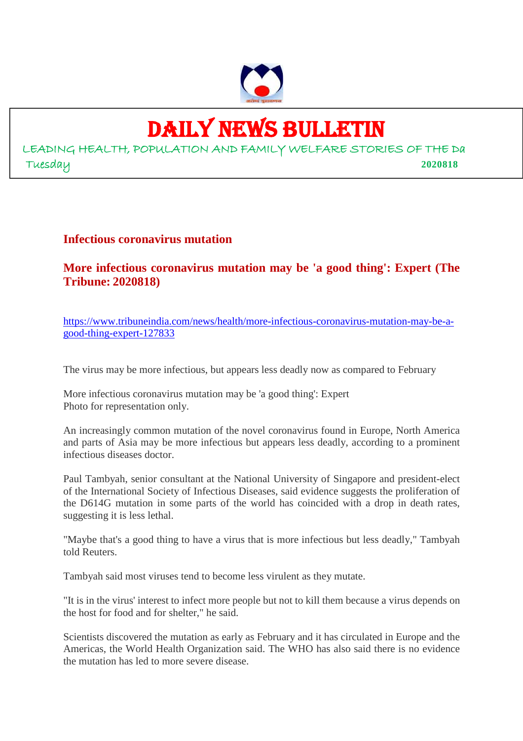

# DAILY NEWS BULLETIN

LEADING HEALTH, POPULATION AND FAMILY WELFARE STORIES OF THE Da Tuesday **2020818**

### **Infectious coronavirus mutation**

**More infectious coronavirus mutation may be 'a good thing': Expert (The Tribune: 2020818)**

https://www.tribuneindia.com/news/health/more-infectious-coronavirus-mutation-may-be-agood-thing-expert-127833

The virus may be more infectious, but appears less deadly now as compared to February

More infectious coronavirus mutation may be 'a good thing': Expert Photo for representation only.

An increasingly common mutation of the novel coronavirus found in Europe, North America and parts of Asia may be more infectious but appears less deadly, according to a prominent infectious diseases doctor.

Paul Tambyah, senior consultant at the National University of Singapore and president-elect of the International Society of Infectious Diseases, said evidence suggests the proliferation of the D614G mutation in some parts of the world has coincided with a drop in death rates, suggesting it is less lethal.

"Maybe that's a good thing to have a virus that is more infectious but less deadly," Tambyah told Reuters.

Tambyah said most viruses tend to become less virulent as they mutate.

"It is in the virus' interest to infect more people but not to kill them because a virus depends on the host for food and for shelter," he said.

Scientists discovered the mutation as early as February and it has circulated in Europe and the Americas, the World Health Organization said. The WHO has also said there is no evidence the mutation has led to more severe disease.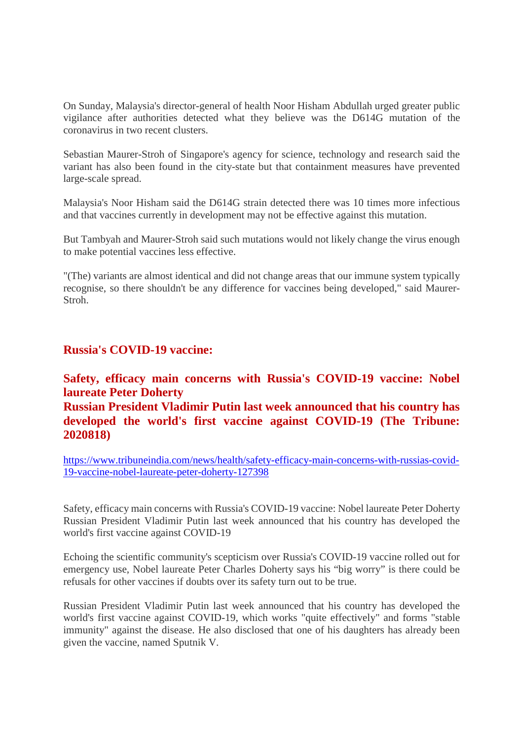On Sunday, Malaysia's director-general of health Noor Hisham Abdullah urged greater public vigilance after authorities detected what they believe was the D614G mutation of the coronavirus in two recent clusters.

Sebastian Maurer-Stroh of Singapore's agency for science, technology and research said the variant has also been found in the city-state but that containment measures have prevented large-scale spread.

Malaysia's Noor Hisham said the D614G strain detected there was 10 times more infectious and that vaccines currently in development may not be effective against this mutation.

But Tambyah and Maurer-Stroh said such mutations would not likely change the virus enough to make potential vaccines less effective.

"(The) variants are almost identical and did not change areas that our immune system typically recognise, so there shouldn't be any difference for vaccines being developed," said Maurer-Stroh.

#### **Russia's COVID-19 vaccine:**

# **Safety, efficacy main concerns with Russia's COVID-19 vaccine: Nobel laureate Peter Doherty Russian President Vladimir Putin last week announced that his country has developed the world's first vaccine against COVID-19 (The Tribune: 2020818)**

https://www.tribuneindia.com/news/health/safety-efficacy-main-concerns-with-russias-covid-19-vaccine-nobel-laureate-peter-doherty-127398

Safety, efficacy main concerns with Russia's COVID-19 vaccine: Nobel laureate Peter Doherty Russian President Vladimir Putin last week announced that his country has developed the world's first vaccine against COVID-19

Echoing the scientific community's scepticism over Russia's COVID-19 vaccine rolled out for emergency use, Nobel laureate Peter Charles Doherty says his "big worry" is there could be refusals for other vaccines if doubts over its safety turn out to be true.

Russian President Vladimir Putin last week announced that his country has developed the world's first vaccine against COVID-19, which works "quite effectively" and forms "stable immunity" against the disease. He also disclosed that one of his daughters has already been given the vaccine, named Sputnik V.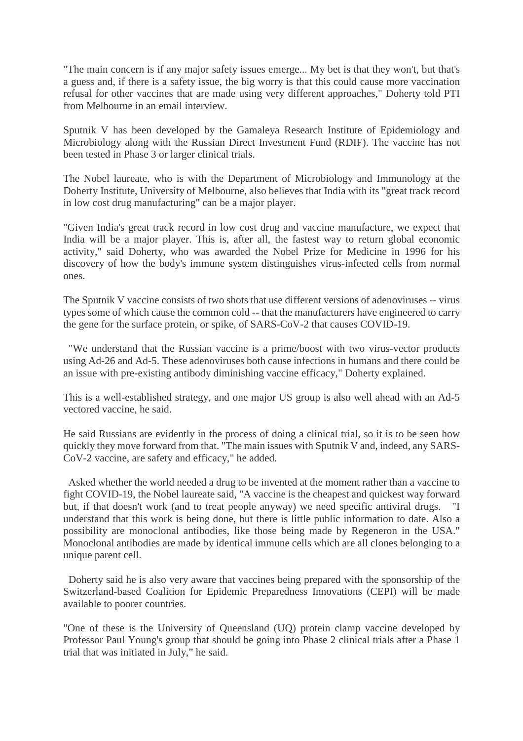"The main concern is if any major safety issues emerge... My bet is that they won't, but that's a guess and, if there is a safety issue, the big worry is that this could cause more vaccination refusal for other vaccines that are made using very different approaches," Doherty told PTI from Melbourne in an email interview.

Sputnik V has been developed by the Gamaleya Research Institute of Epidemiology and Microbiology along with the Russian Direct Investment Fund (RDIF). The vaccine has not been tested in Phase 3 or larger clinical trials.

The Nobel laureate, who is with the Department of Microbiology and Immunology at the Doherty Institute, University of Melbourne, also believes that India with its "great track record in low cost drug manufacturing" can be a major player.

"Given India's great track record in low cost drug and vaccine manufacture, we expect that India will be a major player. This is, after all, the fastest way to return global economic activity," said Doherty, who was awarded the Nobel Prize for Medicine in 1996 for his discovery of how the body's immune system distinguishes virus-infected cells from normal ones.

The Sputnik V vaccine consists of two shots that use different versions of adenoviruses -- virus types some of which cause the common cold -- that the manufacturers have engineered to carry the gene for the surface protein, or spike, of SARS-CoV-2 that causes COVID-19.

"We understand that the Russian vaccine is a prime/boost with two virus-vector products using Ad-26 and Ad-5. These adenoviruses both cause infections in humans and there could be an issue with pre-existing antibody diminishing vaccine efficacy," Doherty explained.

This is a well-established strategy, and one major US group is also well ahead with an Ad-5 vectored vaccine, he said.

He said Russians are evidently in the process of doing a clinical trial, so it is to be seen how quickly they move forward from that. "The main issues with Sputnik V and, indeed, any SARS-CoV-2 vaccine, are safety and efficacy," he added.

Asked whether the world needed a drug to be invented at the moment rather than a vaccine to fight COVID-19, the Nobel laureate said, "A vaccine is the cheapest and quickest way forward but, if that doesn't work (and to treat people anyway) we need specific antiviral drugs. understand that this work is being done, but there is little public information to date. Also a possibility are monoclonal antibodies, like those being made by Regeneron in the USA." Monoclonal antibodies are made by identical immune cells which are all clones belonging to a unique parent cell.

Doherty said he is also very aware that vaccines being prepared with the sponsorship of the Switzerland-based Coalition for Epidemic Preparedness Innovations (CEPI) will be made available to poorer countries.

"One of these is the University of Queensland (UQ) protein clamp vaccine developed by Professor Paul Young's group that should be going into Phase 2 clinical trials after a Phase 1 trial that was initiated in July," he said.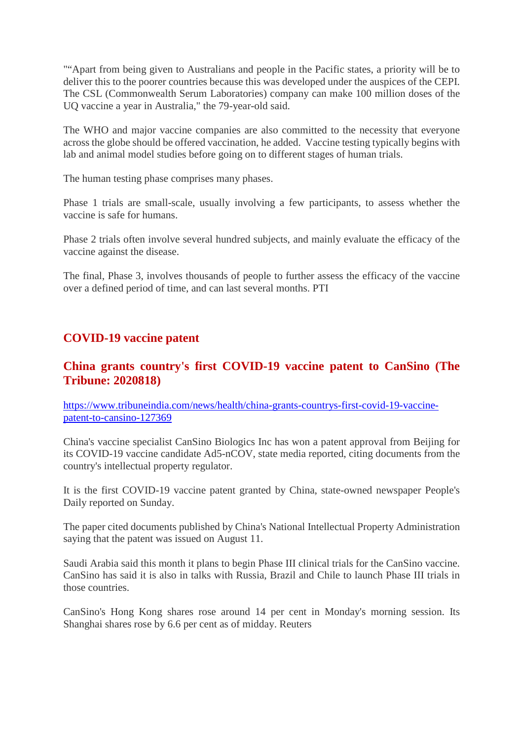""Apart from being given to Australians and people in the Pacific states, a priority will be to deliver this to the poorer countries because this was developed under the auspices of the CEPI. The CSL (Commonwealth Serum Laboratories) company can make 100 million doses of the UQ vaccine a year in Australia," the 79-year-old said.

The WHO and major vaccine companies are also committed to the necessity that everyone across the globe should be offered vaccination, he added. Vaccine testing typically begins with lab and animal model studies before going on to different stages of human trials.

The human testing phase comprises many phases.

Phase 1 trials are small-scale, usually involving a few participants, to assess whether the vaccine is safe for humans.

Phase 2 trials often involve several hundred subjects, and mainly evaluate the efficacy of the vaccine against the disease.

The final, Phase 3, involves thousands of people to further assess the efficacy of the vaccine over a defined period of time, and can last several months. PTI

# **COVID-19 vaccine patent**

# **China grants country's first COVID-19 vaccine patent to CanSino (The Tribune: 2020818)**

https://www.tribuneindia.com/news/health/china-grants-countrys-first-covid-19-vaccinepatent-to-cansino-127369

China's vaccine specialist CanSino Biologics Inc has won a patent approval from Beijing for its COVID-19 vaccine candidate Ad5-nCOV, state media reported, citing documents from the country's intellectual property regulator.

It is the first COVID-19 vaccine patent granted by China, state-owned newspaper People's Daily reported on Sunday.

The paper cited documents published by China's National Intellectual Property Administration saying that the patent was issued on August 11.

Saudi Arabia said this month it plans to begin Phase III clinical trials for the CanSino vaccine. CanSino has said it is also in talks with Russia, Brazil and Chile to launch Phase III trials in those countries.

CanSino's Hong Kong shares rose around 14 per cent in Monday's morning session. Its Shanghai shares rose by 6.6 per cent as of midday. Reuters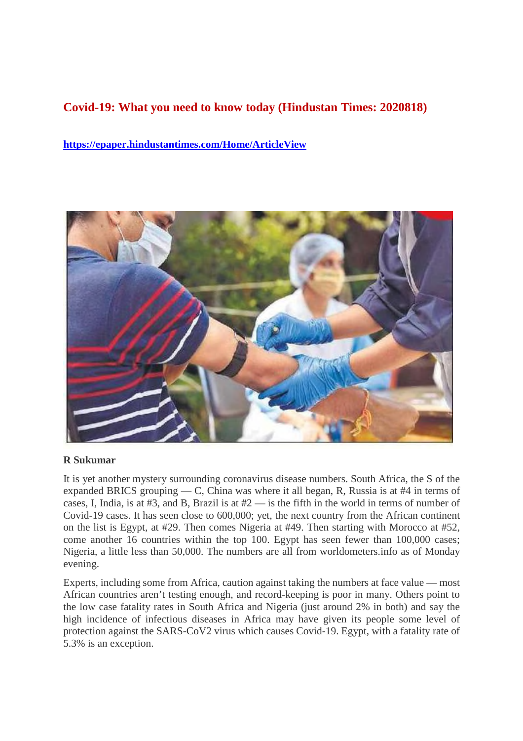# **Covid-19: What you need to know today (Hindustan Times: 2020818)**

**https://epaper.hindustantimes.com/Home/ArticleView**



#### **R Sukumar**

It is yet another mystery surrounding coronavirus disease numbers. South Africa, the S of the expanded BRICS grouping — C, China was where it all began, R, Russia is at #4 in terms of cases, I, India, is at  $#3$ , and B, Brazil is at  $#2$  — is the fifth in the world in terms of number of Covid-19 cases. It has seen close to 600,000; yet, the next country from the African continent on the list is Egypt, at #29. Then comes Nigeria at #49. Then starting with Morocco at #52, come another 16 countries within the top 100. Egypt has seen fewer than 100,000 cases; Nigeria, a little less than 50,000. The numbers are all from worldometers.info as of Monday evening.

Experts, including some from Africa, caution against taking the numbers at face value — most African countries aren't testing enough, and record-keeping is poor in many. Others point to the low case fatality rates in South Africa and Nigeria (just around 2% in both) and say the high incidence of infectious diseases in Africa may have given its people some level of protection against the SARS-CoV2 virus which causes Covid-19. Egypt, with a fatality rate of 5.3% is an exception.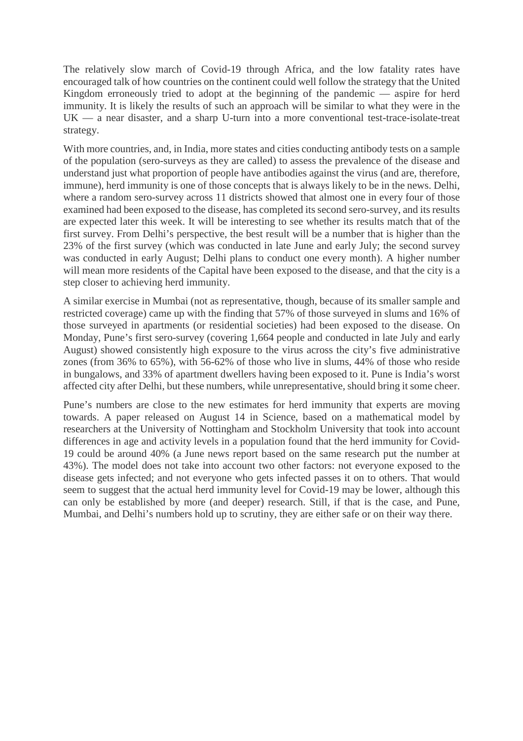The relatively slow march of Covid-19 through Africa, and the low fatality rates have encouraged talk of how countries on the continent could well follow the strategy that the United Kingdom erroneously tried to adopt at the beginning of the pandemic — aspire for herd immunity. It is likely the results of such an approach will be similar to what they were in the UK — a near disaster, and a sharp U-turn into a more conventional test-trace-isolate-treat strategy.

With more countries, and, in India, more states and cities conducting antibody tests on a sample of the population (sero-surveys as they are called) to assess the prevalence of the disease and understand just what proportion of people have antibodies against the virus (and are, therefore, immune), herd immunity is one of those concepts that is always likely to be in the news. Delhi, where a random sero-survey across 11 districts showed that almost one in every four of those examined had been exposed to the disease, has completed its second sero-survey, and its results are expected later this week. It will be interesting to see whether its results match that of the first survey. From Delhi's perspective, the best result will be a number that is higher than the 23% of the first survey (which was conducted in late June and early July; the second survey was conducted in early August; Delhi plans to conduct one every month). A higher number will mean more residents of the Capital have been exposed to the disease, and that the city is a step closer to achieving herd immunity.

A similar exercise in Mumbai (not as representative, though, because of its smaller sample and restricted coverage) came up with the finding that 57% of those surveyed in slums and 16% of those surveyed in apartments (or residential societies) had been exposed to the disease. On Monday, Pune's first sero-survey (covering 1,664 people and conducted in late July and early August) showed consistently high exposure to the virus across the city's five administrative zones (from 36% to 65%), with 56-62% of those who live in slums, 44% of those who reside in bungalows, and 33% of apartment dwellers having been exposed to it. Pune is India's worst affected city after Delhi, but these numbers, while unrepresentative, should bring it some cheer.

Pune's numbers are close to the new estimates for herd immunity that experts are moving towards. A paper released on August 14 in Science, based on a mathematical model by researchers at the University of Nottingham and Stockholm University that took into account differences in age and activity levels in a population found that the herd immunity for Covid-19 could be around 40% (a June news report based on the same research put the number at 43%). The model does not take into account two other factors: not everyone exposed to the disease gets infected; and not everyone who gets infected passes it on to others. That would seem to suggest that the actual herd immunity level for Covid-19 may be lower, although this can only be established by more (and deeper) research. Still, if that is the case, and Pune, Mumbai, and Delhi's numbers hold up to scrutiny, they are either safe or on their way there.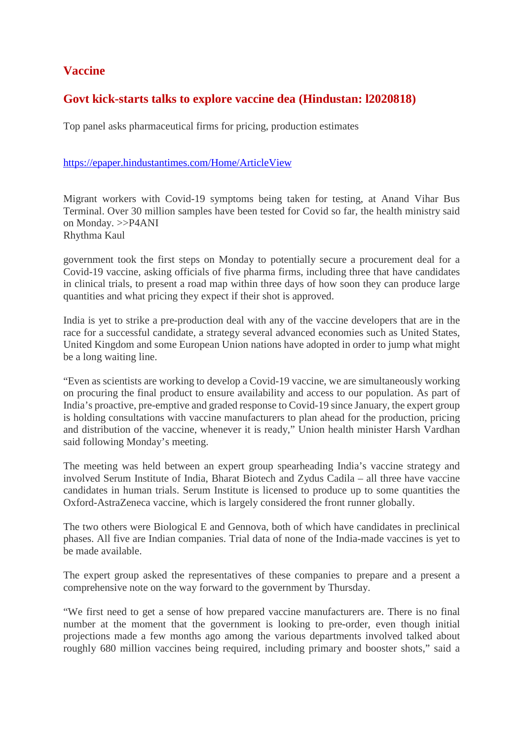# **Vaccine**

# **Govt kick-starts talks to explore vaccine dea (Hindustan: l2020818)**

Top panel asks pharmaceutical firms for pricing, production estimates

#### https://epaper.hindustantimes.com/Home/ArticleView

Migrant workers with Covid-19 symptoms being taken for testing, at Anand Vihar Bus Terminal. Over 30 million samples have been tested for Covid so far, the health ministry said on Monday. >>P4ANI Rhythma Kaul

government took the first steps on Monday to potentially secure a procurement deal for a Covid-19 vaccine, asking officials of five pharma firms, including three that have candidates in clinical trials, to present a road map within three days of how soon they can produce large quantities and what pricing they expect if their shot is approved.

India is yet to strike a pre-production deal with any of the vaccine developers that are in the race for a successful candidate, a strategy several advanced economies such as United States, United Kingdom and some European Union nations have adopted in order to jump what might be a long waiting line.

"Even as scientists are working to develop a Covid-19 vaccine, we are simultaneously working on procuring the final product to ensure availability and access to our population. As part of India's proactive, pre-emptive and graded response to Covid-19 since January, the expert group is holding consultations with vaccine manufacturers to plan ahead for the production, pricing and distribution of the vaccine, whenever it is ready," Union health minister Harsh Vardhan said following Monday's meeting.

The meeting was held between an expert group spearheading India's vaccine strategy and involved Serum Institute of India, Bharat Biotech and Zydus Cadila – all three have vaccine candidates in human trials. Serum Institute is licensed to produce up to some quantities the Oxford-AstraZeneca vaccine, which is largely considered the front runner globally.

The two others were Biological E and Gennova, both of which have candidates in preclinical phases. All five are Indian companies. Trial data of none of the India-made vaccines is yet to be made available.

The expert group asked the representatives of these companies to prepare and a present a comprehensive note on the way forward to the government by Thursday.

"We first need to get a sense of how prepared vaccine manufacturers are. There is no final number at the moment that the government is looking to pre-order, even though initial projections made a few months ago among the various departments involved talked about roughly 680 million vaccines being required, including primary and booster shots," said a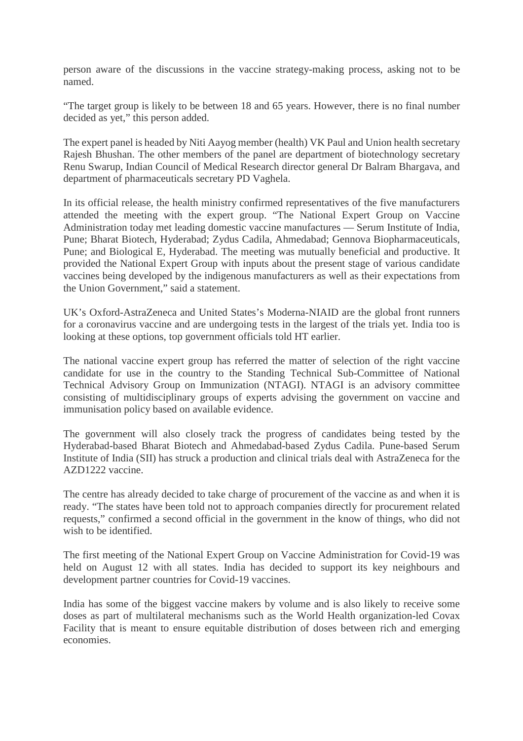person aware of the discussions in the vaccine strategy-making process, asking not to be named.

"The target group is likely to be between 18 and 65 years. However, there is no final number decided as yet," this person added.

The expert panel is headed by Niti Aayog member (health) VK Paul and Union health secretary Rajesh Bhushan. The other members of the panel are department of biotechnology secretary Renu Swarup, Indian Council of Medical Research director general Dr Balram Bhargava, and department of pharmaceuticals secretary PD Vaghela.

In its official release, the health ministry confirmed representatives of the five manufacturers attended the meeting with the expert group. "The National Expert Group on Vaccine Administration today met leading domestic vaccine manufactures — Serum Institute of India, Pune; Bharat Biotech, Hyderabad; Zydus Cadila, Ahmedabad; Gennova Biopharmaceuticals, Pune; and Biological E, Hyderabad. The meeting was mutually beneficial and productive. It provided the National Expert Group with inputs about the present stage of various candidate vaccines being developed by the indigenous manufacturers as well as their expectations from the Union Government," said a statement.

UK's Oxford-AstraZeneca and United States's Moderna-NIAID are the global front runners for a coronavirus vaccine and are undergoing tests in the largest of the trials yet. India too is looking at these options, top government officials told HT earlier.

The national vaccine expert group has referred the matter of selection of the right vaccine candidate for use in the country to the Standing Technical Sub-Committee of National Technical Advisory Group on Immunization (NTAGI). NTAGI is an advisory committee consisting of multidisciplinary groups of experts advising the government on vaccine and immunisation policy based on available evidence.

The government will also closely track the progress of candidates being tested by the Hyderabad-based Bharat Biotech and Ahmedabad-based Zydus Cadila. Pune-based Serum Institute of India (SII) has struck a production and clinical trials deal with AstraZeneca for the AZD1222 vaccine.

The centre has already decided to take charge of procurement of the vaccine as and when it is ready. "The states have been told not to approach companies directly for procurement related requests," confirmed a second official in the government in the know of things, who did not wish to be identified.

The first meeting of the National Expert Group on Vaccine Administration for Covid-19 was held on August 12 with all states. India has decided to support its key neighbours and development partner countries for Covid-19 vaccines.

India has some of the biggest vaccine makers by volume and is also likely to receive some doses as part of multilateral mechanisms such as the World Health organization-led Covax Facility that is meant to ensure equitable distribution of doses between rich and emerging economies.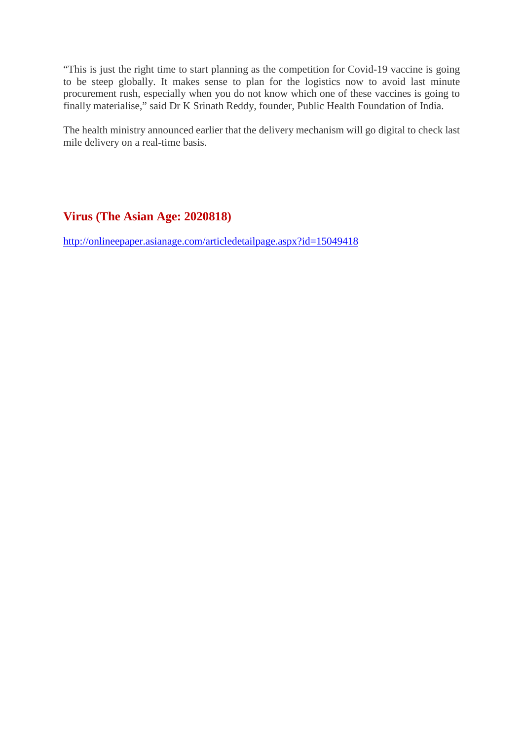"This is just the right time to start planning as the competition for Covid-19 vaccine is going to be steep globally. It makes sense to plan for the logistics now to avoid last minute procurement rush, especially when you do not know which one of these vaccines is going to finally materialise," said Dr K Srinath Reddy, founder, Public Health Foundation of India.

The health ministry announced earlier that the delivery mechanism will go digital to check last mile delivery on a real-time basis.

# **Virus (The Asian Age: 2020818)**

http://onlineepaper.asianage.com/articledetailpage.aspx?id=15049418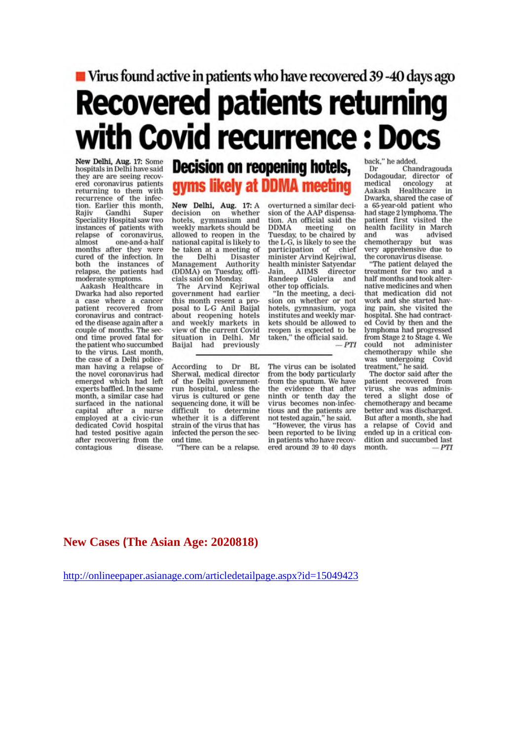# ■ Virus found active in patients who have recovered 39-40 days ago **Recovered patients returning** with Covid recurrence : Docs

New Delhi, Aug. 17: Some<br>hospitals in Delhi have said they are are seeing recovered coronavirus patients returning to them with<br>recurrence of the infection. Earlier this month, Gandhi Super Rajiv Speciality Hospital saw two instances of patients with<br>relapse of coronavirus, almost one-and-a-half months after they were cured of the infection. In both the instances of relapse, the patients had moderate symptoms.<br>Aakash Healthcare in

Dwarka had also reported a case where a cancer patient recovered from coronavirus and contracted the disease again after a couple of months. The second time proved fatal for the patient who succumbed to the virus. Last month, the case of a Delhi policeman having a relapse of the novel coronavirus had emerged which had left experts baffled. In the same month, a similar case had surfaced in the national capital after a nurse<br>employed at a civic-run<br>dedicated Covid hospital had tested positive again after recovering from the contagious disease.

# **Decision on reopening hotels,** gyms likely at DDMA meeting

New Delhi, Aug. 17: A<br>decision on whether<br>hotels, gymnasium and weekly markets should be allowed to reopen in the national capital is likely to be taken at a meeting of Delhi Disaster the Management Authority (DDMA) on Tuesday, officials said on Monday.

The Arvind Kejriwal government had earlier this month resent a proposal to L-G Anil Baijal about reopening hotels and weekly markets in view of the current Covid situation in Delhi. Mr Baijal had previously overturned a similar decision of the AAP dispensation. An official said the DDMA meeting on<br>Tuesday, to be chaired by on the L-G, is likely to see the<br>participation of chief minister Arvind Kejriwal, health minister Satyendar Jain, AIIMS director<br>Randeep Guleria and other top officials.

"In the meeting, a decision on whether or not hotels, gymnasium, yoga institutes and weekly markets should be allowed to reopen is expected to be<br>taken," the official said.  $- PTI$ 

According to Dr BL<br>Sherwal, medical director of the Delhi governmentrun hospital, unless the virus is cultured or gene<br>sequencing done, it will be difficult to determine<br>whether it is a different strain of the virus that has infected the person the second time.

"There can be a relapse.

The virus can be isolated from the body particularly from the sputum. We have the evidence that after ninth or tenth day the<br>virus becomes non-infectious and the patients are not tested again," he said.

"However, the virus has been reported to be living in patients who have recovered around 39 to 40 days back," he added.

Chandragouda Dr Dodagoudar, director of medical oncology at Healthcare Aakash in Dwarka, shared the case of a 65-year-old patient who had stage 2 lymphoma. The patient first visited the health facility in March was advised and chemotherapy but was very apprehensive due to the coronavirus disease.

"The patient delayed the treatment for two and a half months and took alternative medicines and when that medication did not work and she started having pain, she visited the hospital. She had contracted Covid by then and the lymphoma had progressed from Stage 2 to Stage 4. We could not administer<br>chemotherapy while she was undergoing<br>treatment," he said. Covid

The doctor said after the patient recovered from virus, she was adminisered a slight dose of<br>chemotherapy and became better and was discharged. But after a month, she had a relapse of Covid and ended up in a critical condition and succumbed last month.  $-PTI$ 

#### **New Cases (The Asian Age: 2020818)**

http://onlineepaper.asianage.com/articledetailpage.aspx?id=15049423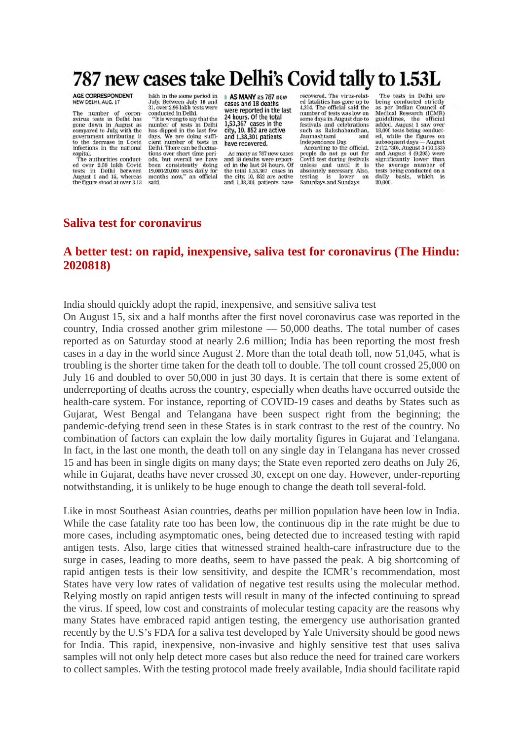# 787 new cases take Delhi's Covid tally to 1.53L

# AGE CORRESPONDENT<br>NEW DELHI, AUG. 17

The number of coron-<br>avirus tests in Delhi has gone down in August as<br>compared to July, with the<br>government attributing it to the decrease in Covid infections in the national capital. The authorities conduct-

ed over 2.58 lakh Covid<br>tests in Delhi between<br>August 1 and 15, whereas the figure stood at over 3.13

lakh in the same period in<br>July. Between July 16 and 31, over 2.96 lakh tests were conducted in Delhi. "It is wrong to say that the pumber of tests in Delhi

has dipped in the last few<br>days. We are doing sufficient number of tests in Delhi. There can be fluctua tions over short time peri-<br>ods, but overall we have been consistently doing<br>19,000-20,000 tests daily for months now," an official said.

AS MANY as 787 new cases and 18 deaths were reported in the last 24 hours. Of the total 1,53,367 cases in the city, 10, 852 are active and 1.38.301 patients have recovered.

As many as 787 new cases and 18 deaths were reported in the last 24 hours. Of the total 1,53,367 cases in the city. 10, 852 are active and 1,38,301 patients have

recovered. The virus-related fatalities has gone up to 4.214. The official said the number of tests was low on<br>some days in August due to festivals and celebrations<br>such as Rakshabandhan,<br>Janmashtami and

Independence Day,<br>According to the official, people do not go out for<br>Covid test during festivals unless and until it is<br>absolutely necessary. Also, testing is lower<br>Saturdays and Sundays. on

The tests in Delhi are being conducted strictly as per Indian Council of as per mutan counter of<br>Medical Research (ICMR)<br>guidelines, the official<br>added. August 1 saw over 18,000 tests being conduct-<br>ed, while the figures on subsequent days — August<br>2 (12,730), August 3 (10,133)<br>and August 4 (9,295) were<br>significantly lower than the average number of<br>tests being conducted on a daily basis, which is  $20,000.$ 

#### **Saliva test for coronavirus**

## **A better test: on rapid, inexpensive, saliva test for coronavirus (The Hindu: 2020818)**

India should quickly adopt the rapid, inexpensive, and sensitive saliva test

On August 15, six and a half months after the first novel coronavirus case was reported in the country, India crossed another grim milestone — 50,000 deaths. The total number of cases reported as on Saturday stood at nearly 2.6 million; India has been reporting the most fresh cases in a day in the world since August 2. More than the total death toll, now 51,045, what is troubling is the shorter time taken for the death toll to double. The toll count crossed 25,000 on July 16 and doubled to over 50,000 in just 30 days. It is certain that there is some extent of underreporting of deaths across the country, especially when deaths have occurred outside the health-care system. For instance, reporting of COVID-19 cases and deaths by States such as Gujarat, West Bengal and Telangana have been suspect right from the beginning; the pandemic-defying trend seen in these States is in stark contrast to the rest of the country. No combination of factors can explain the low daily mortality figures in Gujarat and Telangana. In fact, in the last one month, the death toll on any single day in Telangana has never crossed 15 and has been in single digits on many days; the State even reported zero deaths on July 26, while in Gujarat, deaths have never crossed 30, except on one day. However, under-reporting notwithstanding, it is unlikely to be huge enough to change the death toll several-fold.

Like in most Southeast Asian countries, deaths per million population have been low in India. While the case fatality rate too has been low, the continuous dip in the rate might be due to more cases, including asymptomatic ones, being detected due to increased testing with rapid antigen tests. Also, large cities that witnessed strained health-care infrastructure due to the surge in cases, leading to more deaths, seem to have passed the peak. A big shortcoming of rapid antigen tests is their low sensitivity, and despite the ICMR's recommendation, most States have very low rates of validation of negative test results using the molecular method. Relying mostly on rapid antigen tests will result in many of the infected continuing to spread the virus. If speed, low cost and constraints of molecular testing capacity are the reasons why many States have embraced rapid antigen testing, the emergency use authorisation granted recently by the U.S's FDA for a saliva test developed by Yale University should be good news for India. This rapid, inexpensive, non-invasive and highly sensitive test that uses saliva samples will not only help detect more cases but also reduce the need for trained care workers to collect samples. With the testing protocol made freely available, India should facilitate rapid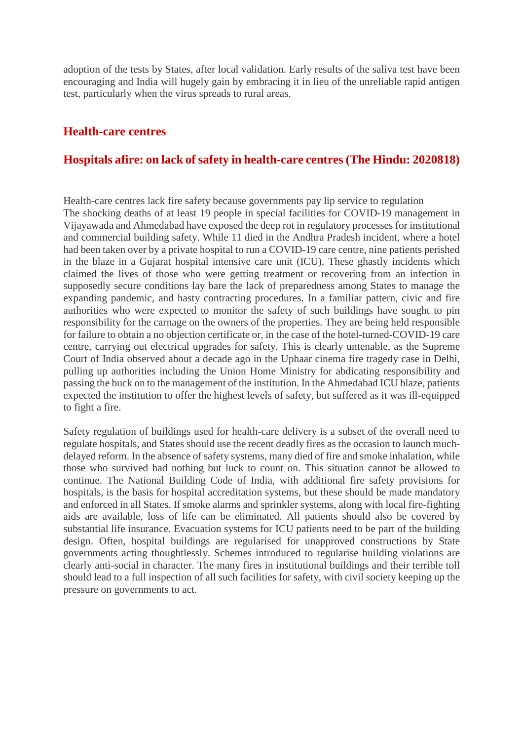adoption of the tests by States, after local validation. Early results of the saliva test have been encouraging and India will hugely gain by embracing it in lieu of the unreliable rapid antigen test, particularly when the virus spreads to rural areas.

## **Health-care centres**

# **Hospitals afire: on lack of safety in health-care centres (The Hindu: 2020818)**

Health-care centres lack fire safety because governments pay lip service to regulation The shocking deaths of at least 19 people in special facilities for COVID-19 management in Vijayawada and Ahmedabad have exposed the deep rot in regulatory processes for institutional and commercial building safety. While 11 died in the Andhra Pradesh incident, where a hotel had been taken over by a private hospital to run a COVID-19 care centre, nine patients perished in the blaze in a Gujarat hospital intensive care unit (ICU). These ghastly incidents which claimed the lives of those who were getting treatment or recovering from an infection in supposedly secure conditions lay bare the lack of preparedness among States to manage the expanding pandemic, and hasty contracting procedures. In a familiar pattern, civic and fire authorities who were expected to monitor the safety of such buildings have sought to pin responsibility for the carnage on the owners of the properties. They are being held responsible for failure to obtain a no objection certificate or, in the case of the hotel-turned-COVID-19 care centre, carrying out electrical upgrades for safety. This is clearly untenable, as the Supreme Court of India observed about a decade ago in the Uphaar cinema fire tragedy case in Delhi, pulling up authorities including the Union Home Ministry for abdicating responsibility and passing the buck on to the management of the institution. In the Ahmedabad ICU blaze, patients expected the institution to offer the highest levels of safety, but suffered as it was ill-equipped to fight a fire.

Safety regulation of buildings used for health-care delivery is a subset of the overall need to regulate hospitals, and States should use the recent deadly fires as the occasion to launch muchdelayed reform. In the absence of safety systems, many died of fire and smoke inhalation, while those who survived had nothing but luck to count on. This situation cannot be allowed to continue. The National Building Code of India, with additional fire safety provisions for hospitals, is the basis for hospital accreditation systems, but these should be made mandatory and enforced in all States. If smoke alarms and sprinkler systems, along with local fire-fighting aids are available, loss of life can be eliminated. All patients should also be covered by substantial life insurance. Evacuation systems for ICU patients need to be part of the building design. Often, hospital buildings are regularised for unapproved constructions by State governments acting thoughtlessly. Schemes introduced to regularise building violations are clearly anti-social in character. The many fires in institutional buildings and their terrible toll should lead to a full inspection of all such facilities for safety, with civil society keeping up the pressure on governments to act.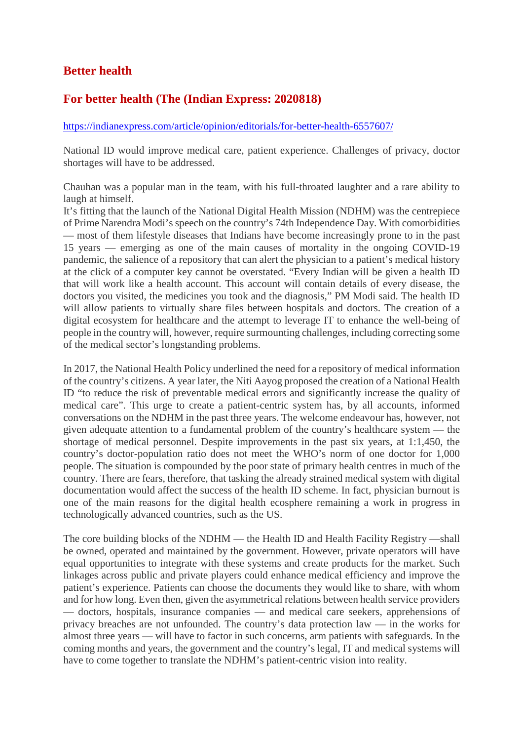# **Better health**

# **For better health (The (Indian Express: 2020818)**

#### https://indianexpress.com/article/opinion/editorials/for-better-health-6557607/

National ID would improve medical care, patient experience. Challenges of privacy, doctor shortages will have to be addressed.

Chauhan was a popular man in the team, with his full-throated laughter and a rare ability to laugh at himself.

It's fitting that the launch of the National Digital Health Mission (NDHM) was the centrepiece of Prime Narendra Modi's speech on the country's 74th Independence Day. With comorbidities — most of them lifestyle diseases that Indians have become increasingly prone to in the past 15 years — emerging as one of the main causes of mortality in the ongoing COVID-19 pandemic, the salience of a repository that can alert the physician to a patient's medical history at the click of a computer key cannot be overstated. "Every Indian will be given a health ID that will work like a health account. This account will contain details of every disease, the doctors you visited, the medicines you took and the diagnosis," PM Modi said. The health ID will allow patients to virtually share files between hospitals and doctors. The creation of a digital ecosystem for healthcare and the attempt to leverage IT to enhance the well-being of people in the country will, however, require surmounting challenges, including correcting some of the medical sector's longstanding problems.

In 2017, the National Health Policy underlined the need for a repository of medical information of the country's citizens. A year later, the Niti Aayog proposed the creation of a National Health ID "to reduce the risk of preventable medical errors and significantly increase the quality of medical care". This urge to create a patient-centric system has, by all accounts, informed conversations on the NDHM in the past three years. The welcome endeavour has, however, not given adequate attention to a fundamental problem of the country's healthcare system — the shortage of medical personnel. Despite improvements in the past six years, at 1:1,450, the country's doctor-population ratio does not meet the WHO's norm of one doctor for 1,000 people. The situation is compounded by the poor state of primary health centres in much of the country. There are fears, therefore, that tasking the already strained medical system with digital documentation would affect the success of the health ID scheme. In fact, physician burnout is one of the main reasons for the digital health ecosphere remaining a work in progress in technologically advanced countries, such as the US.

The core building blocks of the NDHM — the Health ID and Health Facility Registry —shall be owned, operated and maintained by the government. However, private operators will have equal opportunities to integrate with these systems and create products for the market. Such linkages across public and private players could enhance medical efficiency and improve the patient's experience. Patients can choose the documents they would like to share, with whom and for how long. Even then, given the asymmetrical relations between health service providers — doctors, hospitals, insurance companies — and medical care seekers, apprehensions of privacy breaches are not unfounded. The country's data protection law — in the works for almost three years — will have to factor in such concerns, arm patients with safeguards. In the coming months and years, the government and the country's legal, IT and medical systems will have to come together to translate the NDHM's patient-centric vision into reality.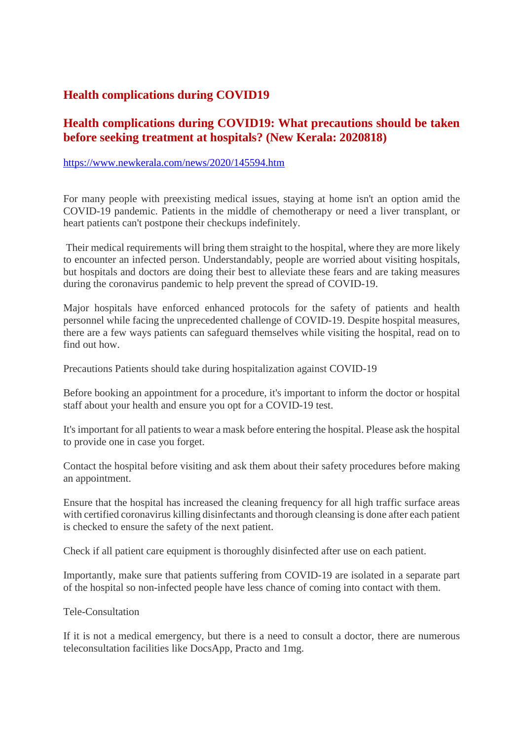# **Health complications during COVID19**

# **Health complications during COVID19: What precautions should be taken before seeking treatment at hospitals? (New Kerala: 2020818)**

#### https://www.newkerala.com/news/2020/145594.htm

For many people with preexisting medical issues, staying at home isn't an option amid the COVID-19 pandemic. Patients in the middle of chemotherapy or need a liver transplant, or heart patients can't postpone their checkups indefinitely.

Their medical requirements will bring them straight to the hospital, where they are more likely to encounter an infected person. Understandably, people are worried about visiting hospitals, but hospitals and doctors are doing their best to alleviate these fears and are taking measures during the coronavirus pandemic to help prevent the spread of COVID-19.

Major hospitals have enforced enhanced protocols for the safety of patients and health personnel while facing the unprecedented challenge of COVID-19. Despite hospital measures, there are a few ways patients can safeguard themselves while visiting the hospital, read on to find out how.

Precautions Patients should take during hospitalization against COVID-19

Before booking an appointment for a procedure, it's important to inform the doctor or hospital staff about your health and ensure you opt for a COVID-19 test.

It's important for all patients to wear a mask before entering the hospital. Please ask the hospital to provide one in case you forget.

Contact the hospital before visiting and ask them about their safety procedures before making an appointment.

Ensure that the hospital has increased the cleaning frequency for all high traffic surface areas with certified coronavirus killing disinfectants and thorough cleansing is done after each patient is checked to ensure the safety of the next patient.

Check if all patient care equipment is thoroughly disinfected after use on each patient.

Importantly, make sure that patients suffering from COVID-19 are isolated in a separate part of the hospital so non-infected people have less chance of coming into contact with them.

#### Tele-Consultation

If it is not a medical emergency, but there is a need to consult a doctor, there are numerous teleconsultation facilities like DocsApp, Practo and 1mg.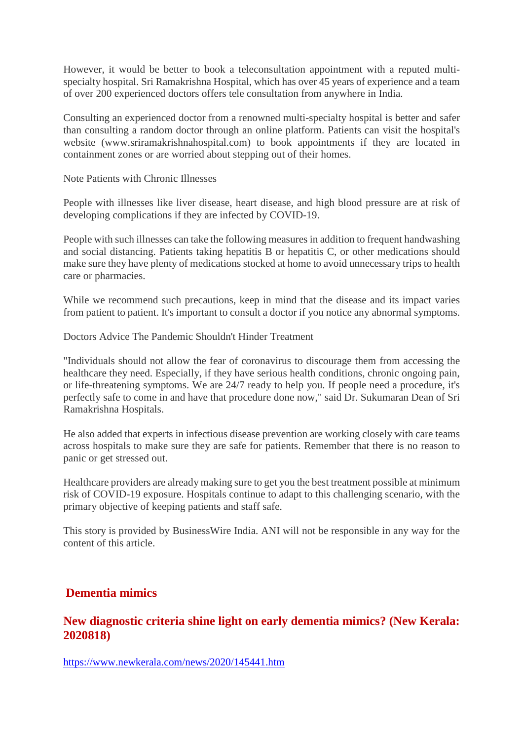However, it would be better to book a teleconsultation appointment with a reputed multispecialty hospital. Sri Ramakrishna Hospital, which has over 45 years of experience and a team of over 200 experienced doctors offers tele consultation from anywhere in India.

Consulting an experienced doctor from a renowned multi-specialty hospital is better and safer than consulting a random doctor through an online platform. Patients can visit the hospital's website (www.sriramakrishnahospital.com) to book appointments if they are located in containment zones or are worried about stepping out of their homes.

Note Patients with Chronic Illnesses

People with illnesses like liver disease, heart disease, and high blood pressure are at risk of developing complications if they are infected by COVID-19.

People with such illnesses can take the following measures in addition to frequent handwashing and social distancing. Patients taking hepatitis B or hepatitis C, or other medications should make sure they have plenty of medications stocked at home to avoid unnecessary trips to health care or pharmacies.

While we recommend such precautions, keep in mind that the disease and its impact varies from patient to patient. It's important to consult a doctor if you notice any abnormal symptoms.

Doctors Advice The Pandemic Shouldn't Hinder Treatment

"Individuals should not allow the fear of coronavirus to discourage them from accessing the healthcare they need. Especially, if they have serious health conditions, chronic ongoing pain, or life-threatening symptoms. We are 24/7 ready to help you. If people need a procedure, it's perfectly safe to come in and have that procedure done now," said Dr. Sukumaran Dean of Sri Ramakrishna Hospitals.

He also added that experts in infectious disease prevention are working closely with care teams across hospitals to make sure they are safe for patients. Remember that there is no reason to panic or get stressed out.

Healthcare providers are already making sure to get you the best treatment possible at minimum risk of COVID-19 exposure. Hospitals continue to adapt to this challenging scenario, with the primary objective of keeping patients and staff safe.

This story is provided by BusinessWire India. ANI will not be responsible in any way for the content of this article.

# **Dementia mimics**

# **New diagnostic criteria shine light on early dementia mimics? (New Kerala: 2020818)**

https://www.newkerala.com/news/2020/145441.htm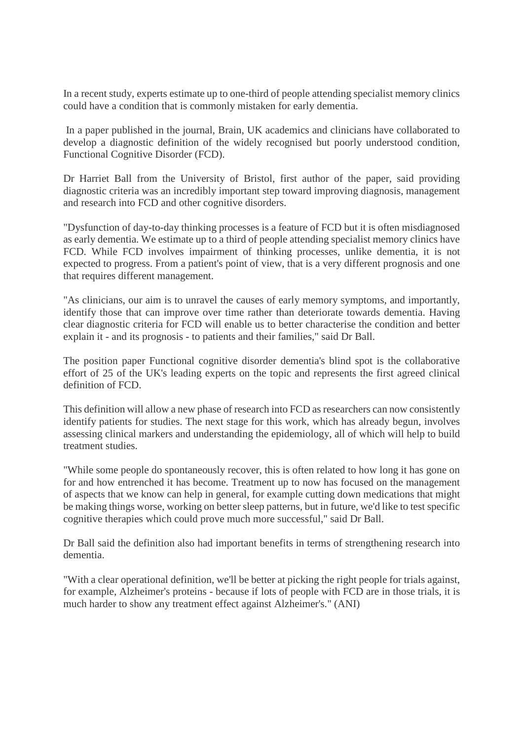In a recent study, experts estimate up to one-third of people attending specialist memory clinics could have a condition that is commonly mistaken for early dementia.

In a paper published in the journal, Brain, UK academics and clinicians have collaborated to develop a diagnostic definition of the widely recognised but poorly understood condition, Functional Cognitive Disorder (FCD).

Dr Harriet Ball from the University of Bristol, first author of the paper, said providing diagnostic criteria was an incredibly important step toward improving diagnosis, management and research into FCD and other cognitive disorders.

"Dysfunction of day-to-day thinking processes is a feature of FCD but it is often misdiagnosed as early dementia. We estimate up to a third of people attending specialist memory clinics have FCD. While FCD involves impairment of thinking processes, unlike dementia, it is not expected to progress. From a patient's point of view, that is a very different prognosis and one that requires different management.

"As clinicians, our aim is to unravel the causes of early memory symptoms, and importantly, identify those that can improve over time rather than deteriorate towards dementia. Having clear diagnostic criteria for FCD will enable us to better characterise the condition and better explain it - and its prognosis - to patients and their families," said Dr Ball.

The position paper Functional cognitive disorder dementia's blind spot is the collaborative effort of 25 of the UK's leading experts on the topic and represents the first agreed clinical definition of FCD.

This definition will allow a new phase of research into FCD as researchers can now consistently identify patients for studies. The next stage for this work, which has already begun, involves assessing clinical markers and understanding the epidemiology, all of which will help to build treatment studies.

"While some people do spontaneously recover, this is often related to how long it has gone on for and how entrenched it has become. Treatment up to now has focused on the management of aspects that we know can help in general, for example cutting down medications that might be making things worse, working on better sleep patterns, but in future, we'd like to test specific cognitive therapies which could prove much more successful," said Dr Ball.

Dr Ball said the definition also had important benefits in terms of strengthening research into dementia.

"With a clear operational definition, we'll be better at picking the right people for trials against, for example, Alzheimer's proteins - because if lots of people with FCD are in those trials, it is much harder to show any treatment effect against Alzheimer's." (ANI)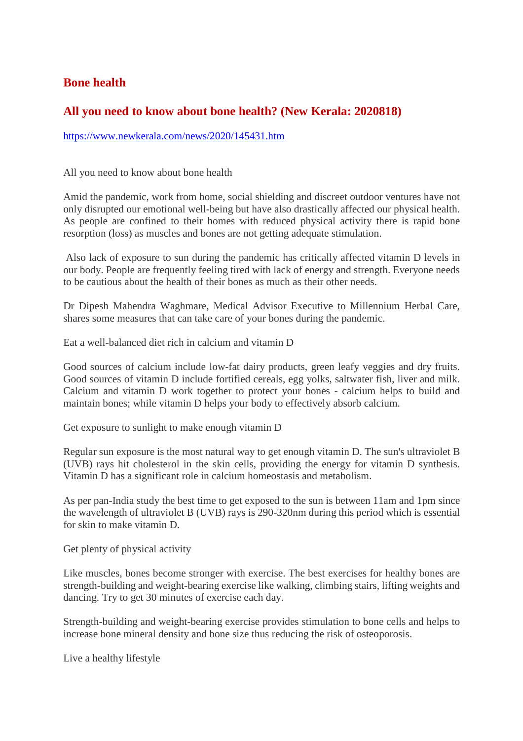# **Bone health**

# **All you need to know about bone health? (New Kerala: 2020818)**

https://www.newkerala.com/news/2020/145431.htm

All you need to know about bone health

Amid the pandemic, work from home, social shielding and discreet outdoor ventures have not only disrupted our emotional well-being but have also drastically affected our physical health. As people are confined to their homes with reduced physical activity there is rapid bone resorption (loss) as muscles and bones are not getting adequate stimulation.

Also lack of exposure to sun during the pandemic has critically affected vitamin D levels in our body. People are frequently feeling tired with lack of energy and strength. Everyone needs to be cautious about the health of their bones as much as their other needs.

Dr Dipesh Mahendra Waghmare, Medical Advisor Executive to Millennium Herbal Care, shares some measures that can take care of your bones during the pandemic.

Eat a well-balanced diet rich in calcium and vitamin D

Good sources of calcium include low-fat dairy products, green leafy veggies and dry fruits. Good sources of vitamin D include fortified cereals, egg yolks, saltwater fish, liver and milk. Calcium and vitamin D work together to protect your bones - calcium helps to build and maintain bones; while vitamin D helps your body to effectively absorb calcium.

Get exposure to sunlight to make enough vitamin D

Regular sun exposure is the most natural way to get enough vitamin D. The sun's ultraviolet B (UVB) rays hit cholesterol in the skin cells, providing the energy for vitamin D synthesis. Vitamin D has a significant role in calcium homeostasis and metabolism.

As per pan-India study the best time to get exposed to the sun is between 11am and 1pm since the wavelength of ultraviolet B (UVB) rays is 290-320nm during this period which is essential for skin to make vitamin D.

Get plenty of physical activity

Like muscles, bones become stronger with exercise. The best exercises for healthy bones are strength-building and weight-bearing exercise like walking, climbing stairs, lifting weights and dancing. Try to get 30 minutes of exercise each day.

Strength-building and weight-bearing exercise provides stimulation to bone cells and helps to increase bone mineral density and bone size thus reducing the risk of osteoporosis.

Live a healthy lifestyle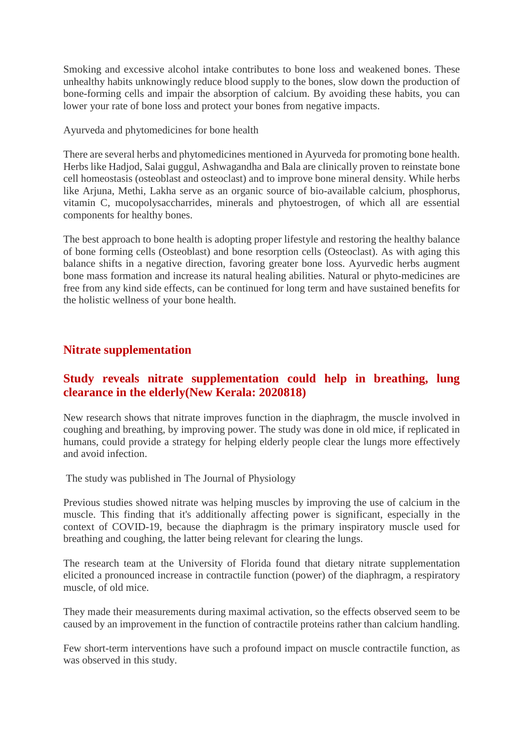Smoking and excessive alcohol intake contributes to bone loss and weakened bones. These unhealthy habits unknowingly reduce blood supply to the bones, slow down the production of bone-forming cells and impair the absorption of calcium. By avoiding these habits, you can lower your rate of bone loss and protect your bones from negative impacts.

Ayurveda and phytomedicines for bone health

There are several herbs and phytomedicines mentioned in Ayurveda for promoting bone health. Herbs like Hadjod, Salai guggul, Ashwagandha and Bala are clinically proven to reinstate bone cell homeostasis (osteoblast and osteoclast) and to improve bone mineral density. While herbs like Arjuna, Methi, Lakha serve as an organic source of bio-available calcium, phosphorus, vitamin C, mucopolysaccharrides, minerals and phytoestrogen, of which all are essential components for healthy bones.

The best approach to bone health is adopting proper lifestyle and restoring the healthy balance of bone forming cells (Osteoblast) and bone resorption cells (Osteoclast). As with aging this balance shifts in a negative direction, favoring greater bone loss. Ayurvedic herbs augment bone mass formation and increase its natural healing abilities. Natural or phyto-medicines are free from any kind side effects, can be continued for long term and have sustained benefits for the holistic wellness of your bone health.

# **Nitrate supplementation**

# **Study reveals nitrate supplementation could help in breathing, lung clearance in the elderly(New Kerala: 2020818)**

New research shows that nitrate improves function in the diaphragm, the muscle involved in coughing and breathing, by improving power. The study was done in old mice, if replicated in humans, could provide a strategy for helping elderly people clear the lungs more effectively and avoid infection.

The study was published in The Journal of Physiology

Previous studies showed nitrate was helping muscles by improving the use of calcium in the muscle. This finding that it's additionally affecting power is significant, especially in the context of COVID-19, because the diaphragm is the primary inspiratory muscle used for breathing and coughing, the latter being relevant for clearing the lungs.

The research team at the University of Florida found that dietary nitrate supplementation elicited a pronounced increase in contractile function (power) of the diaphragm, a respiratory muscle, of old mice.

They made their measurements during maximal activation, so the effects observed seem to be caused by an improvement in the function of contractile proteins rather than calcium handling.

Few short-term interventions have such a profound impact on muscle contractile function, as was observed in this study.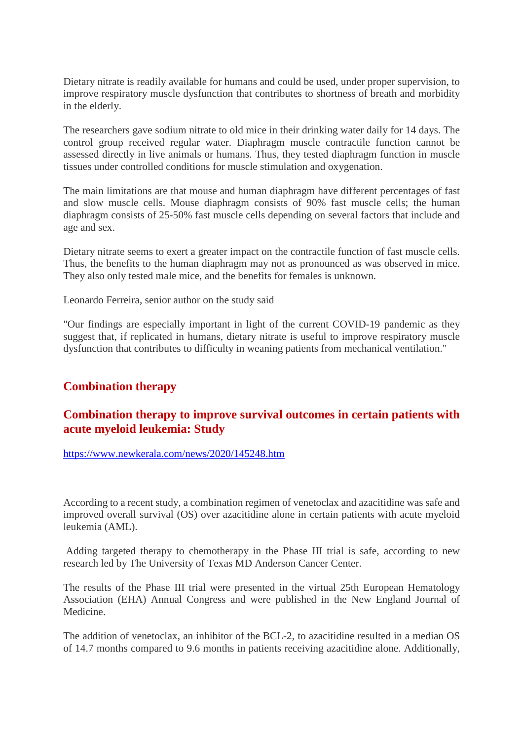Dietary nitrate is readily available for humans and could be used, under proper supervision, to improve respiratory muscle dysfunction that contributes to shortness of breath and morbidity in the elderly.

The researchers gave sodium nitrate to old mice in their drinking water daily for 14 days. The control group received regular water. Diaphragm muscle contractile function cannot be assessed directly in live animals or humans. Thus, they tested diaphragm function in muscle tissues under controlled conditions for muscle stimulation and oxygenation.

The main limitations are that mouse and human diaphragm have different percentages of fast and slow muscle cells. Mouse diaphragm consists of 90% fast muscle cells; the human diaphragm consists of 25-50% fast muscle cells depending on several factors that include and age and sex.

Dietary nitrate seems to exert a greater impact on the contractile function of fast muscle cells. Thus, the benefits to the human diaphragm may not as pronounced as was observed in mice. They also only tested male mice, and the benefits for females is unknown.

Leonardo Ferreira, senior author on the study said

"Our findings are especially important in light of the current COVID-19 pandemic as they suggest that, if replicated in humans, dietary nitrate is useful to improve respiratory muscle dysfunction that contributes to difficulty in weaning patients from mechanical ventilation."

# **Combination therapy**

# **Combination therapy to improve survival outcomes in certain patients with acute myeloid leukemia: Study**

https://www.newkerala.com/news/2020/145248.htm

According to a recent study, a combination regimen of venetoclax and azacitidine was safe and improved overall survival (OS) over azacitidine alone in certain patients with acute myeloid leukemia (AML).

Adding targeted therapy to chemotherapy in the Phase III trial is safe, according to new research led by The University of Texas MD Anderson Cancer Center.

The results of the Phase III trial were presented in the virtual 25th European Hematology Association (EHA) Annual Congress and were published in the New England Journal of Medicine.

The addition of venetoclax, an inhibitor of the BCL-2, to azacitidine resulted in a median OS of 14.7 months compared to 9.6 months in patients receiving azacitidine alone. Additionally,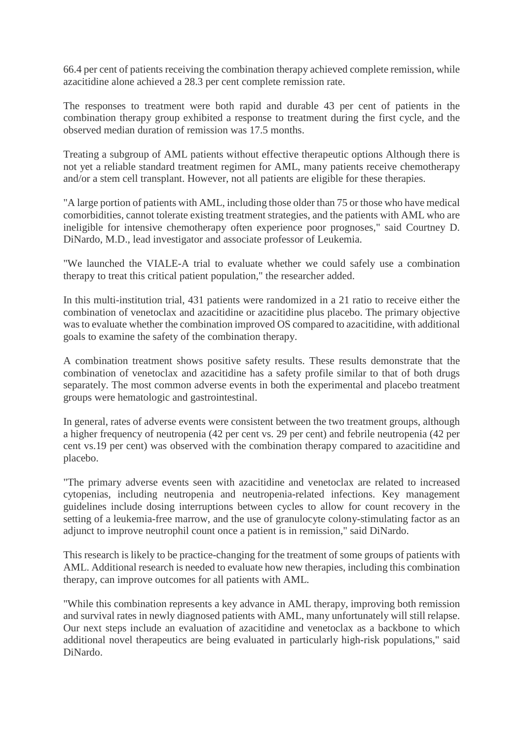66.4 per cent of patients receiving the combination therapy achieved complete remission, while azacitidine alone achieved a 28.3 per cent complete remission rate.

The responses to treatment were both rapid and durable 43 per cent of patients in the combination therapy group exhibited a response to treatment during the first cycle, and the observed median duration of remission was 17.5 months.

Treating a subgroup of AML patients without effective therapeutic options Although there is not yet a reliable standard treatment regimen for AML, many patients receive chemotherapy and/or a stem cell transplant. However, not all patients are eligible for these therapies.

"A large portion of patients with AML, including those older than 75 or those who have medical comorbidities, cannot tolerate existing treatment strategies, and the patients with AML who are ineligible for intensive chemotherapy often experience poor prognoses," said Courtney D. DiNardo, M.D., lead investigator and associate professor of Leukemia.

"We launched the VIALE-A trial to evaluate whether we could safely use a combination therapy to treat this critical patient population," the researcher added.

In this multi-institution trial, 431 patients were randomized in a 21 ratio to receive either the combination of venetoclax and azacitidine or azacitidine plus placebo. The primary objective was to evaluate whether the combination improved OS compared to azacitidine, with additional goals to examine the safety of the combination therapy.

A combination treatment shows positive safety results. These results demonstrate that the combination of venetoclax and azacitidine has a safety profile similar to that of both drugs separately. The most common adverse events in both the experimental and placebo treatment groups were hematologic and gastrointestinal.

In general, rates of adverse events were consistent between the two treatment groups, although a higher frequency of neutropenia (42 per cent vs. 29 per cent) and febrile neutropenia (42 per cent vs.19 per cent) was observed with the combination therapy compared to azacitidine and placebo.

"The primary adverse events seen with azacitidine and venetoclax are related to increased cytopenias, including neutropenia and neutropenia-related infections. Key management guidelines include dosing interruptions between cycles to allow for count recovery in the setting of a leukemia-free marrow, and the use of granulocyte colony-stimulating factor as an adjunct to improve neutrophil count once a patient is in remission," said DiNardo.

This research is likely to be practice-changing for the treatment of some groups of patients with AML. Additional research is needed to evaluate how new therapies, including this combination therapy, can improve outcomes for all patients with AML.

"While this combination represents a key advance in AML therapy, improving both remission and survival rates in newly diagnosed patients with AML, many unfortunately will still relapse. Our next steps include an evaluation of azacitidine and venetoclax as a backbone to which additional novel therapeutics are being evaluated in particularly high-risk populations," said DiNardo.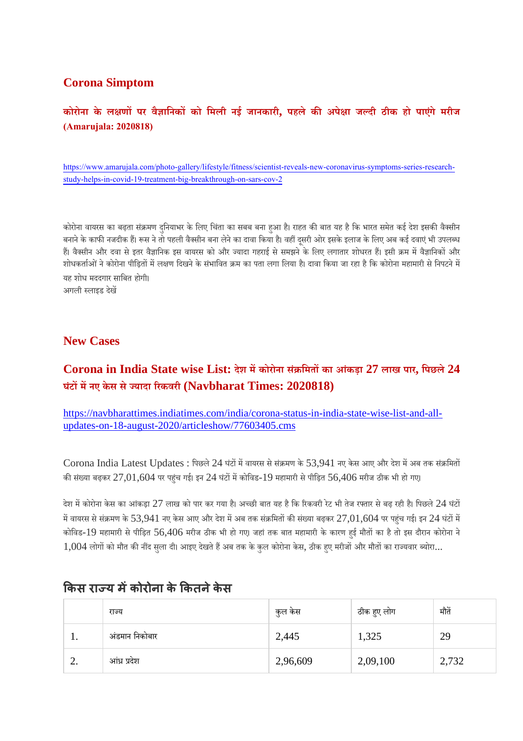# **Corona Simptom**

# **कोरोना के लणपर वैािनकको िमली नई जानकारी, पहले कअपेा जदी ठीक हो पाएगं े मरीज (Amarujala: 2020818)**

https://www.amarujala.com/photo-gallery/lifestyle/fitness/scientist-reveals-new-coronavirus-symptoms-series-researchstudy-helps-in-covid-19-treatment-big-breakthrough-on-sars-cov-2

कोरोना वायरस का बढ़ता संक्रमण दुनियाभर के लिए चिंता का सबब बना हुआ है। राहत की बात यह है कि भारत समेत कई देश इसकी वैक्सीन बनाने के काफी नजदीक हैं। रूस ने तो पहली वैक्सीन बना लेने का दावा किया है। वहीं दसरी ओर इसके इलाज के लिए अब कई दवाएं भी उपलब्ध हैं। वैक्सीन और दवा से इतर वैज्ञानिक इस वायरस को और ज्यादा गहराई से समझने के लिए लगातार शोधरत हैं। इसी क्रम में वैज्ञानिकों और शोधकर्ताओं ने कोरोना पीड़ितों में लक्षण दिखने के संभावित क्रम का पता लगा लिया है। दावा किया जा रहा है कि कोरोना महामारी से निपटने में यह शोध मददगार सािबत होगी। अगली लाइड देख

### **New Cases**

# **Corona in India State wise List: देश मकोरोना सं िमतका आकं ड़ा 27 लाख पार, िपछले24 घंटमनए केस सेयादा रकवरी (Navbharat Times: 2020818)**

https://navbharattimes.indiatimes.com/india/corona-status-in-india-state-wise-list-and-allupdates-on-18-august-2020/articleshow/77603405.cms

Corona India Latest Updates : पिछले 24 घंटों में वायरस से संक्रमण के 53,941 नए केस आए और देश में अब तक संक्रमितों की संख्या बढ़कर  $27,01,604$  पर पहंच गई। इन  $24$  घंटों में कोविड- $19$  महामारी से पीड़ित  $56,406$  मरीज ठीक भी हो गए।

देश में कोरोना केस का आंकड़ा 27 लाख को पार कर गया है। अच्छी बात यह है कि रिकवरी रेट भी तेज रफ्तार से बढ़ रही है। पिछले 24 घंटों में वायरस से संक्रमण के 53,941 नए केस आए और देश में अब तक संक्रमितों की संख्या बढ़कर 27,01,604 पर पहुंच गई। इन 24 घंटों में कोविड-19 महामारी से पीड़ित 56,406 मरीज ठीक भी हो गए। जहां तक बात महामारी के कारण हुई मौतों का है तो इस दौरान कोरोना ने  $1,004$  लोगों को मौत की नींद सुला दी। आइए देखते हैं अब तक के कुल कोरोना केस, ठीक हुए मरीजों और मौतों का राज्यवार ब्योरा...

|     | राज्य          | कुल केस  | ठीक हुए लोग | मौतें |
|-----|----------------|----------|-------------|-------|
| . . | अंडमान निकोबार | 2,445    | 1,325       | 29    |
| ۷.  | आंध्र प्रदेश   | 2,96,609 | 2,09,100    | 2,732 |

# **कस राय मकोरोना के कतनेकेस**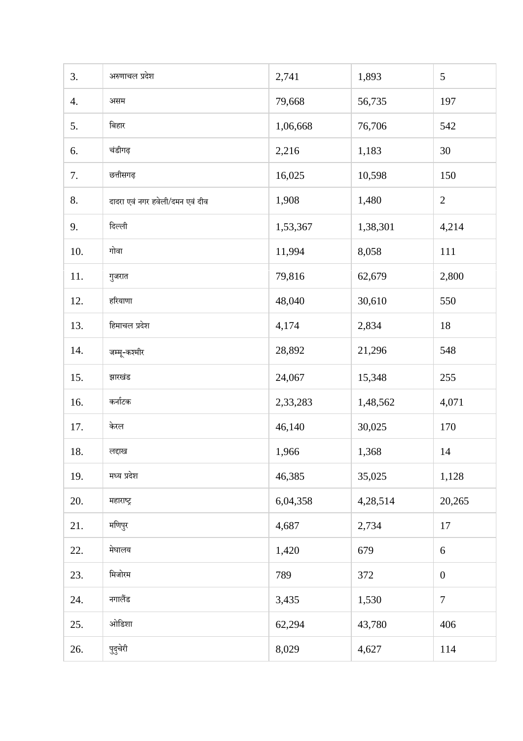| 3.  | अरुणाचल प्रदेश                  | 2,741    | 1,893    | 5                |
|-----|---------------------------------|----------|----------|------------------|
| 4.  | असम                             | 79,668   | 56,735   | 197              |
| 5.  | बिहार                           | 1,06,668 | 76,706   | 542              |
| 6.  | चंडीगढ़                         | 2,216    | 1,183    | 30               |
| 7.  | छत्तीसगढ़                       | 16,025   | 10,598   | 150              |
| 8.  | दादरा एवं नगर हवेली/दमन एवं दीव | 1,908    | 1,480    | $\overline{2}$   |
| 9.  | दिल्ली                          | 1,53,367 | 1,38,301 | 4,214            |
| 10. | गोवा                            | 11,994   | 8,058    | 111              |
| 11. | गुजरात                          | 79,816   | 62,679   | 2,800            |
| 12. | हरियाणा                         | 48,040   | 30,610   | 550              |
| 13. | हिमाचल प्रदेश                   | 4,174    | 2,834    | 18               |
| 14. | जम्मू-कश्मीर                    | 28,892   | 21,296   | 548              |
| 15. | झारखंड                          | 24,067   | 15,348   | 255              |
| 16. | कर्नाटक                         | 2,33,283 | 1,48,562 | 4,071            |
| 17. | केरल                            | 46,140   | 30,025   | 170              |
| 18. | लद्दाख                          | 1,966    | 1,368    | 14               |
| 19. | मध्य प्रदेश                     | 46,385   | 35,025   | 1,128            |
| 20. | महाराष्ट्र                      | 6,04,358 | 4,28,514 | 20,265           |
| 21. | मणिपुर                          | 4,687    | 2,734    | 17               |
| 22. | मेघालय                          | 1,420    | 679      | 6                |
| 23. | मिजोरम                          | 789      | 372      | $\boldsymbol{0}$ |
| 24. | नगालैंड                         | 3,435    | 1,530    | $\overline{7}$   |
| 25. | ओडिशा                           | 62,294   | 43,780   | 406              |
| 26. | पुदुचेरी                        | 8,029    | 4,627    | 114              |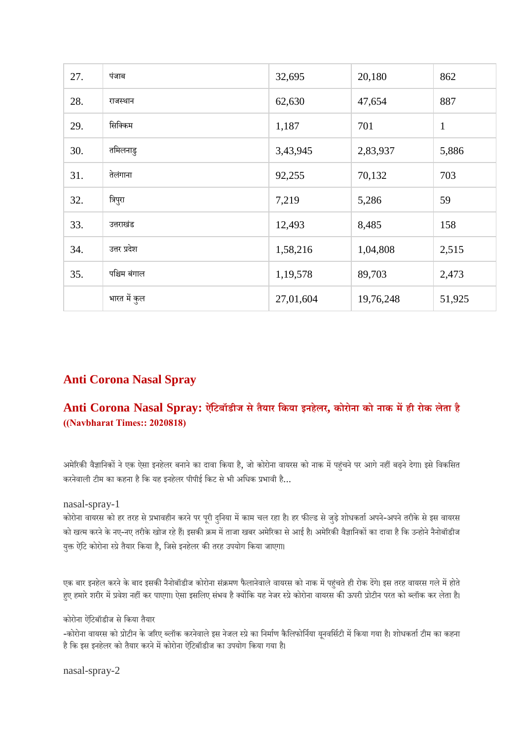| 27. | पंजाब        | 32,695    | 20,180    | 862          |
|-----|--------------|-----------|-----------|--------------|
| 28. | राजस्थान     | 62,630    | 47,654    | 887          |
| 29. | सिक्किम      | 1,187     | 701       | $\mathbf{1}$ |
| 30. | तमिलनाडु     | 3,43,945  | 2,83,937  | 5,886        |
| 31. | तेलंगाना     | 92,255    | 70,132    | 703          |
| 32. | त्रिपुरा     | 7,219     | 5,286     | 59           |
| 33. | उत्तराखंड    | 12,493    | 8,485     | 158          |
| 34. | उत्तर प्रदेश | 1,58,216  | 1,04,808  | 2,515        |
| 35. | पश्चिम बंगाल | 1,19,578  | 89,703    | 2,473        |
|     | भारत में कुल | 27,01,604 | 19,76,248 | 51,925       |

# **Anti Corona Nasal Spray**

# **Anti Corona Nasal Spray: ऐिंटबॉडीज सेतैयार िकया इनहेलर, कोरोना को नाक मही रोक लेता है ((Navbharat Times:: 2020818)**

अमेरिकी वैज्ञानिकों ने एक ऐसा इनहेलर बनाने का दावा किया है, जो कोरोना वायरस को नाक में पहुंचने पर आगे नहीं बढ़ने देगा। इसे विकसित करनेवाली टीम का कहना है कि यह इनहेलर पीपीई किट से भी अधिक प्रभावी है...

nasal-spray-1

कोरोना वायरस को हर तरह से प्रभावहीन करने पर पूरी दुनिया में काम चल रहा है। हर फील्ड से जुड़े शोधकर्ता अपने-अपने तरीके से इस वायरस को खत्म करने के नए-नए तरीके खोज रहे हैं। इसकी क्रम में ताजा खबर अमेरिका से आई है। अमेरिकी वैज्ञानिकों का दावा है कि उन्होने नैनोबॉडीज युक्त ऐंटि कोरोना स्प्रे तैयार किया है, जिसे इनहेलर की तरह उपयोग किया जाएगा।

एक बार इनहेल करने के बाद इसकी नैनोबॉडीज कोरोना संक्रमण फैलानेवाले वायरस को नाक में पहुंचते ही रोक देंगे। इस तरह वायरस गले में होते हुए हमारे शरीर में प्रवेश नहीं कर पाएगा। ऐसा इसलिए संभव है क्योंकि यह नेजर स्प्रे कोरोना वायरस की ऊपरी प्रोटीन परत को ब्लॉक कर लेता है।

कोरोना ऐंटिबॉडीज से किया तैयार

-कोरोना वायरस को प्रोटीन के जरिए ब्लॉक करनेवाले इस नेजल स्प्रे का निर्माण कैलिफोर्निया यनवर्सिटी में किया गया है। शोधकर्ता टीम का कहना है कि इस इनहेलर को तैयार करने में कोरोना ऐंटिबॉडीज का उपयोग किया गया है।

nasal-spray-2